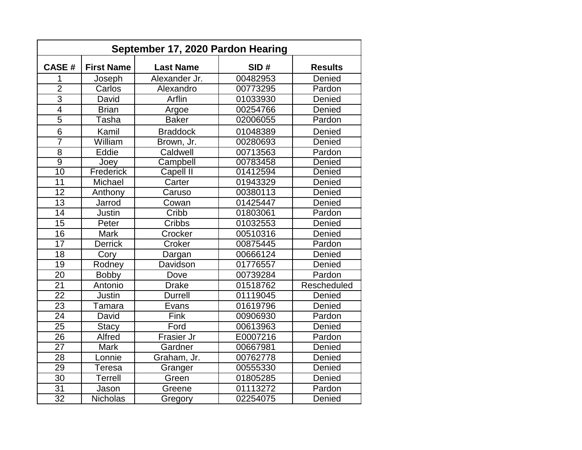| September 17, 2020 Pardon Hearing |                   |                  |          |                |
|-----------------------------------|-------------------|------------------|----------|----------------|
| <b>CASE#</b>                      | <b>First Name</b> | <b>Last Name</b> | SID#     | <b>Results</b> |
| 1                                 | Joseph            | Alexander Jr.    | 00482953 | Denied         |
| $\overline{2}$                    | Carlos            | Alexandro        | 00773295 | Pardon         |
| $\overline{3}$                    | David             | Arflin           | 01033930 | Denied         |
| $\overline{4}$                    | <b>Brian</b>      | Argoe            | 00254766 | Denied         |
| $\overline{5}$                    | Tasha             | <b>Baker</b>     | 02006055 | Pardon         |
| 6                                 | Kamil             | <b>Braddock</b>  | 01048389 | Denied         |
| $\overline{7}$                    | William           | Brown, Jr.       | 00280693 | Denied         |
| 8                                 | Eddie             | Caldwell         | 00713563 | Pardon         |
| $\overline{9}$                    | Joey              | Campbell         | 00783458 | Denied         |
| $\overline{10}$                   | Frederick         | <b>Capell II</b> | 01412594 | Denied         |
| 11                                | Michael           | Carter           | 01943329 | Denied         |
| 12                                | Anthony           | Caruso           | 00380113 | Denied         |
| 13                                | Jarrod            | Cowan            | 01425447 | Denied         |
| 14                                | Justin            | Cribb            | 01803061 | Pardon         |
| 15                                | Peter             | Cribbs           | 01032553 | Denied         |
| 16                                | <b>Mark</b>       | Crocker          | 00510316 | Denied         |
| $\overline{17}$                   | <b>Derrick</b>    | Croker           | 00875445 | Pardon         |
| 18                                | Cory              | Dargan           | 00666124 | Denied         |
| 19                                | Rodney            | Davidson         | 01776557 | Denied         |
| 20                                | <b>Bobby</b>      | Dove             | 00739284 | Pardon         |
| 21                                | Antonio           | <b>Drake</b>     | 01518762 | Rescheduled    |
| $\overline{22}$                   | Justin            | <b>Durrell</b>   | 01119045 | Denied         |
| 23                                | Tamara            | Evans            | 01619796 | Denied         |
| 24                                | David             | Fink             | 00906930 | Pardon         |
| 25                                | <b>Stacy</b>      | Ford             | 00613963 | Denied         |
| 26                                | Alfred            | Frasier Jr       | E0007216 | Pardon         |
| $\overline{27}$                   | <b>Mark</b>       | Gardner          | 00667981 | Denied         |
| 28                                | Lonnie            | Graham, Jr.      | 00762778 | Denied         |
| 29                                | Teresa            | Granger          | 00555330 | Denied         |
| 30                                | <b>Terrell</b>    | Green            | 01805285 | Denied         |
| 31                                | Jason             | Greene           | 01113272 | Pardon         |
| $\overline{32}$                   | <b>Nicholas</b>   | Gregory          | 02254075 | Denied         |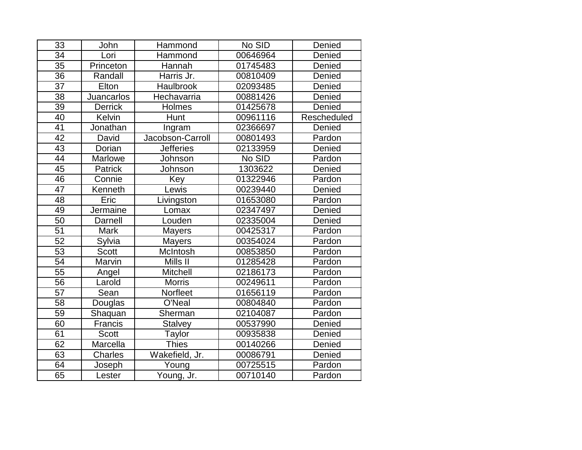| 33              | John              | Hammond                | No SID   | Denied      |
|-----------------|-------------------|------------------------|----------|-------------|
| 34              | Lori              | Hammond                | 00646964 | Denied      |
| 35              | Princeton         | Hannah                 | 01745483 | Denied      |
| 36              | Randall           | Harris Jr.<br>00810409 |          | Denied      |
| 37              | Elton             | Haulbrook              | 02093485 | Denied      |
| 38              | <b>Juancarlos</b> | Hechavarria            | 00881426 | Denied      |
| $\overline{39}$ | <b>Derrick</b>    | Holmes                 | 01425678 | Denied      |
| 40              | Kelvin            | Hunt<br>00961116       |          | Rescheduled |
| 41              | Jonathan          | Ingram                 | 02366697 | Denied      |
| 42              | David             | Jacobson-Carroll       | 00801493 | Pardon      |
| $\overline{43}$ | Dorian            | <b>Jefferies</b>       | 02133959 | Denied      |
| 44              | Marlowe           | Johnson                | No SID   | Pardon      |
| 45              | Patrick           | Johnson                | 1303622  | Denied      |
| 46              | Connie            | Key                    | 01322946 | Pardon      |
| 47              | Kenneth           | Lewis                  | 00239440 | Denied      |
| 48              | Eric              | Livingston             | 01653080 | Pardon      |
| 49              | Jermaine          | Lomax                  | 02347497 | Denied      |
| 50              | Darnell           | Louden                 | 02335004 | Denied      |
| $\overline{51}$ | <b>Mark</b>       | <b>Mayers</b>          | 00425317 | Pardon      |
| $\overline{52}$ | Sylvia            | <b>Mayers</b>          | 00354024 | Pardon      |
| $\overline{53}$ | <b>Scott</b>      | McIntosh               | 00853850 | Pardon      |
| 54              | Marvin            | Mills II               | 01285428 | Pardon      |
| $\overline{55}$ | Angel             | <b>Mitchell</b>        | 02186173 | Pardon      |
| 56              | Larold            | <b>Morris</b>          | 00249611 | Pardon      |
| 57              | Sean              | Norfleet               | 01656119 | Pardon      |
| 58              | Douglas           | O'Neal                 | 00804840 | Pardon      |
| $\overline{59}$ | Shaquan           | Sherman                | 02104087 | Pardon      |
| 60              | Francis           | <b>Stalvey</b>         | 00537990 | Denied      |
| 61              | <b>Scott</b>      | Taylor                 | 00935838 | Denied      |
| 62              | Marcella          | <b>Thies</b>           | 00140266 | Denied      |
| 63              | Charles           | Wakefield, Jr.         | 00086791 | Denied      |
| 64              | Joseph            | Young                  | 00725515 | Pardon      |
| 65              | Lester            | Young, Jr.             | 00710140 | Pardon      |
|                 |                   |                        |          |             |